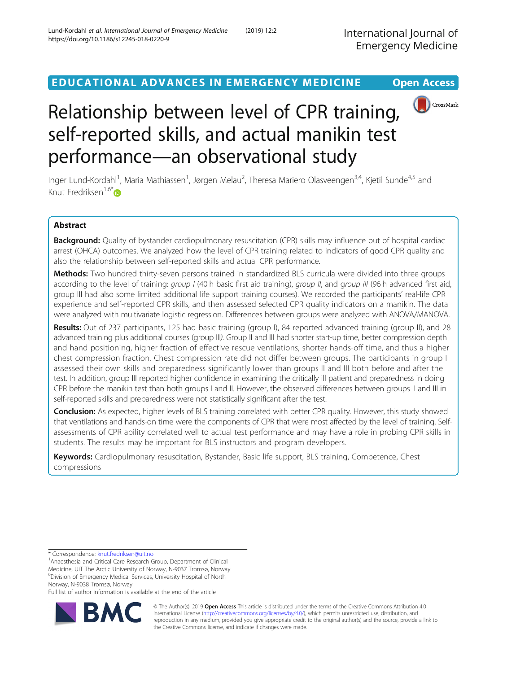CrossMark

EDUCATIONAL ADVANCES IN EMERGENCY MEDICINE Open Access

# Relationship between level of CPR training, self-reported skills, and actual manikin test performance—an observational study

Inger Lund-Kordahl<sup>1</sup>, Maria Mathiassen<sup>1</sup>, Jørgen Melau<sup>2</sup>, Theresa Mariero Olasveengen<sup>3,4</sup>, Kjetil Sunde<sup>4,5</sup> and Knut Fredriksen $1.6*$  $1.6*$ 

# Abstract

Background: Quality of bystander cardiopulmonary resuscitation (CPR) skills may influence out of hospital cardiac arrest (OHCA) outcomes. We analyzed how the level of CPR training related to indicators of good CPR quality and also the relationship between self-reported skills and actual CPR performance.

Methods: Two hundred thirty-seven persons trained in standardized BLS curricula were divided into three groups according to the level of training: group I (40 h basic first aid training), group II, and group III (96 h advanced first aid, group III had also some limited additional life support training courses). We recorded the participants' real-life CPR experience and self-reported CPR skills, and then assessed selected CPR quality indicators on a manikin. The data were analyzed with multivariate logistic regression. Differences between groups were analyzed with ANOVA/MANOVA.

Results: Out of 237 participants, 125 had basic training (group I), 84 reported advanced training (group II), and 28 advanced training plus additional courses (group III). Group II and III had shorter start-up time, better compression depth and hand positioning, higher fraction of effective rescue ventilations, shorter hands-off time, and thus a higher chest compression fraction. Chest compression rate did not differ between groups. The participants in group I assessed their own skills and preparedness significantly lower than groups II and III both before and after the test. In addition, group III reported higher confidence in examining the critically ill patient and preparedness in doing CPR before the manikin test than both groups I and II. However, the observed differences between groups II and III in self-reported skills and preparedness were not statistically significant after the test.

Conclusion: As expected, higher levels of BLS training correlated with better CPR quality. However, this study showed that ventilations and hands-on time were the components of CPR that were most affected by the level of training. Selfassessments of CPR ability correlated well to actual test performance and may have a role in probing CPR skills in students. The results may be important for BLS instructors and program developers.

Keywords: Cardiopulmonary resuscitation, Bystander, Basic life support, BLS training, Competence, Chest compressions

\* Correspondence: [knut.fredriksen@uit.no](mailto:knut.fredriksen@uit.no) <sup>1</sup>

Full list of author information is available at the end of the article



© The Author(s). 2019 **Open Access** This article is distributed under the terms of the Creative Commons Attribution 4.0 International License [\(http://creativecommons.org/licenses/by/4.0/](http://creativecommons.org/licenses/by/4.0/)), which permits unrestricted use, distribution, and reproduction in any medium, provided you give appropriate credit to the original author(s) and the source, provide a link to the Creative Commons license, and indicate if changes were made.

<sup>&</sup>lt;sup>1</sup> Anaesthesia and Critical Care Research Group, Department of Clinical Medicine, UiT The Arctic University of Norway, N-9037 Tromsø, Norway 6 Division of Emergency Medical Services, University Hospital of North Norway, N-9038 Tromsø, Norway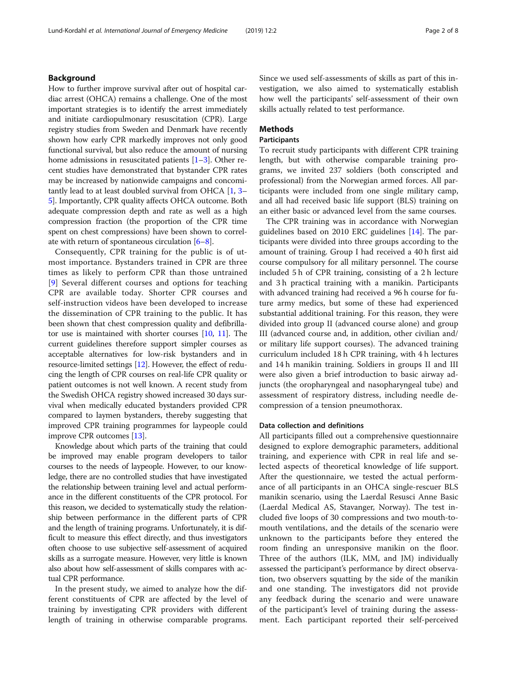# Background

How to further improve survival after out of hospital cardiac arrest (OHCA) remains a challenge. One of the most important strategies is to identify the arrest immediately and initiate cardiopulmonary resuscitation (CPR). Large registry studies from Sweden and Denmark have recently shown how early CPR markedly improves not only good functional survival, but also reduce the amount of nursing home admissions in resuscitated patients  $[1-3]$  $[1-3]$  $[1-3]$ . Other recent studies have demonstrated that bystander CPR rates may be increased by nationwide campaigns and concomitantly lead to at least doubled survival from OHCA [\[1,](#page-6-0) [3](#page-6-0)– [5\]](#page-6-0). Importantly, CPR quality affects OHCA outcome. Both adequate compression depth and rate as well as a high compression fraction (the proportion of the CPR time spent on chest compressions) have been shown to correlate with return of spontaneous circulation [[6](#page-6-0)–[8\]](#page-6-0).

Consequently, CPR training for the public is of utmost importance. Bystanders trained in CPR are three times as likely to perform CPR than those untrained [[9](#page-6-0)] Several different courses and options for teaching CPR are available today. Shorter CPR courses and self-instruction videos have been developed to increase the dissemination of CPR training to the public. It has been shown that chest compression quality and defibrillator use is maintained with shorter courses [\[10,](#page-6-0) [11](#page-6-0)]. The current guidelines therefore support simpler courses as acceptable alternatives for low-risk bystanders and in resource-limited settings [\[12\]](#page-7-0). However, the effect of reducing the length of CPR courses on real-life CPR quality or patient outcomes is not well known. A recent study from the Swedish OHCA registry showed increased 30 days survival when medically educated bystanders provided CPR compared to laymen bystanders, thereby suggesting that improved CPR training programmes for laypeople could improve CPR outcomes [\[13](#page-7-0)].

Knowledge about which parts of the training that could be improved may enable program developers to tailor courses to the needs of laypeople. However, to our knowledge, there are no controlled studies that have investigated the relationship between training level and actual performance in the different constituents of the CPR protocol. For this reason, we decided to systematically study the relationship between performance in the different parts of CPR and the length of training programs. Unfortunately, it is difficult to measure this effect directly, and thus investigators often choose to use subjective self-assessment of acquired skills as a surrogate measure. However, very little is known also about how self-assessment of skills compares with actual CPR performance.

In the present study, we aimed to analyze how the different constituents of CPR are affected by the level of training by investigating CPR providers with different length of training in otherwise comparable programs. Since we used self-assessments of skills as part of this investigation, we also aimed to systematically establish how well the participants' self-assessment of their own skills actually related to test performance.

# Methods

# Participants

To recruit study participants with different CPR training length, but with otherwise comparable training programs, we invited 237 soldiers (both conscripted and professional) from the Norwegian armed forces. All participants were included from one single military camp, and all had received basic life support (BLS) training on an either basic or advanced level from the same courses.

The CPR training was in accordance with Norwegian guidelines based on 2010 ERC guidelines [\[14](#page-7-0)]. The participants were divided into three groups according to the amount of training. Group I had received a 40 h first aid course compulsory for all military personnel. The course included 5 h of CPR training, consisting of a 2 h lecture and 3 h practical training with a manikin. Participants with advanced training had received a 96 h course for future army medics, but some of these had experienced substantial additional training. For this reason, they were divided into group II (advanced course alone) and group III (advanced course and, in addition, other civilian and/ or military life support courses). The advanced training curriculum included 18 h CPR training, with 4 h lectures and 14 h manikin training. Soldiers in groups II and III were also given a brief introduction to basic airway adjuncts (the oropharyngeal and nasopharyngeal tube) and assessment of respiratory distress, including needle decompression of a tension pneumothorax.

## Data collection and definitions

All participants filled out a comprehensive questionnaire designed to explore demographic parameters, additional training, and experience with CPR in real life and selected aspects of theoretical knowledge of life support. After the questionnaire, we tested the actual performance of all participants in an OHCA single-rescuer BLS manikin scenario, using the Laerdal Resusci Anne Basic (Laerdal Medical AS, Stavanger, Norway). The test included five loops of 30 compressions and two mouth-tomouth ventilations, and the details of the scenario were unknown to the participants before they entered the room finding an unresponsive manikin on the floor. Three of the authors (ILK, MM, and JM) individually assessed the participant's performance by direct observation, two observers squatting by the side of the manikin and one standing. The investigators did not provide any feedback during the scenario and were unaware of the participant's level of training during the assessment. Each participant reported their self-perceived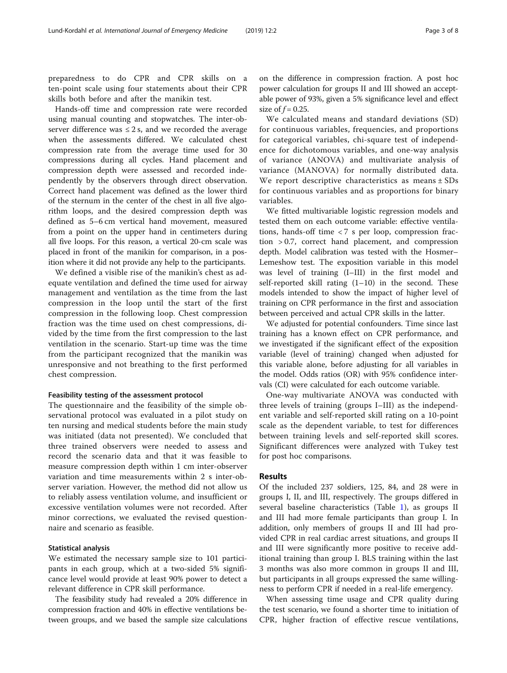preparedness to do CPR and CPR skills on a ten-point scale using four statements about their CPR skills both before and after the manikin test.

Hands-off time and compression rate were recorded using manual counting and stopwatches. The inter-observer difference was  $\leq 2$  s, and we recorded the average when the assessments differed. We calculated chest compression rate from the average time used for 30 compressions during all cycles. Hand placement and compression depth were assessed and recorded independently by the observers through direct observation. Correct hand placement was defined as the lower third of the sternum in the center of the chest in all five algorithm loops, and the desired compression depth was defined as 5–6 cm vertical hand movement, measured from a point on the upper hand in centimeters during all five loops. For this reason, a vertical 20-cm scale was placed in front of the manikin for comparison, in a position where it did not provide any help to the participants.

We defined a visible rise of the manikin's chest as adequate ventilation and defined the time used for airway management and ventilation as the time from the last compression in the loop until the start of the first compression in the following loop. Chest compression fraction was the time used on chest compressions, divided by the time from the first compression to the last ventilation in the scenario. Start-up time was the time from the participant recognized that the manikin was unresponsive and not breathing to the first performed chest compression.

### Feasibility testing of the assessment protocol

The questionnaire and the feasibility of the simple observational protocol was evaluated in a pilot study on ten nursing and medical students before the main study was initiated (data not presented). We concluded that three trained observers were needed to assess and record the scenario data and that it was feasible to measure compression depth within 1 cm inter-observer variation and time measurements within 2 s inter-observer variation. However, the method did not allow us to reliably assess ventilation volume, and insufficient or excessive ventilation volumes were not recorded. After minor corrections, we evaluated the revised questionnaire and scenario as feasible.

# Statistical analysis

We estimated the necessary sample size to 101 participants in each group, which at a two-sided 5% significance level would provide at least 90% power to detect a relevant difference in CPR skill performance.

The feasibility study had revealed a 20% difference in compression fraction and 40% in effective ventilations between groups, and we based the sample size calculations

on the difference in compression fraction. A post hoc power calculation for groups II and III showed an acceptable power of 93%, given a 5% significance level and effect size of  $f = 0.25$ .

We calculated means and standard deviations (SD) for continuous variables, frequencies, and proportions for categorical variables, chi-square test of independence for dichotomous variables, and one-way analysis of variance (ANOVA) and multivariate analysis of variance (MANOVA) for normally distributed data. We report descriptive characteristics as means  $\pm$  SDs for continuous variables and as proportions for binary variables.

We fitted multivariable logistic regression models and tested them on each outcome variable: effective ventilations, hands-off time < 7 s per loop, compression fraction > 0.7, correct hand placement, and compression depth. Model calibration was tested with the Hosmer– Lemeshow test. The exposition variable in this model was level of training (I–III) in the first model and self-reported skill rating (1–10) in the second. These models intended to show the impact of higher level of training on CPR performance in the first and association between perceived and actual CPR skills in the latter.

We adjusted for potential confounders. Time since last training has a known effect on CPR performance, and we investigated if the significant effect of the exposition variable (level of training) changed when adjusted for this variable alone, before adjusting for all variables in the model. Odds ratios (OR) with 95% confidence intervals (CI) were calculated for each outcome variable.

One-way multivariate ANOVA was conducted with three levels of training (groups I–III) as the independent variable and self-reported skill rating on a 10-point scale as the dependent variable, to test for differences between training levels and self-reported skill scores. Significant differences were analyzed with Tukey test for post hoc comparisons.

## Results

Of the included 237 soldiers, 125, 84, and 28 were in groups I, II, and III, respectively. The groups differed in several baseline characteristics (Table [1\)](#page-3-0), as groups II and III had more female participants than group I. In addition, only members of groups II and III had provided CPR in real cardiac arrest situations, and groups II and III were significantly more positive to receive additional training than group I. BLS training within the last 3 months was also more common in groups II and III, but participants in all groups expressed the same willingness to perform CPR if needed in a real-life emergency.

When assessing time usage and CPR quality during the test scenario, we found a shorter time to initiation of CPR, higher fraction of effective rescue ventilations,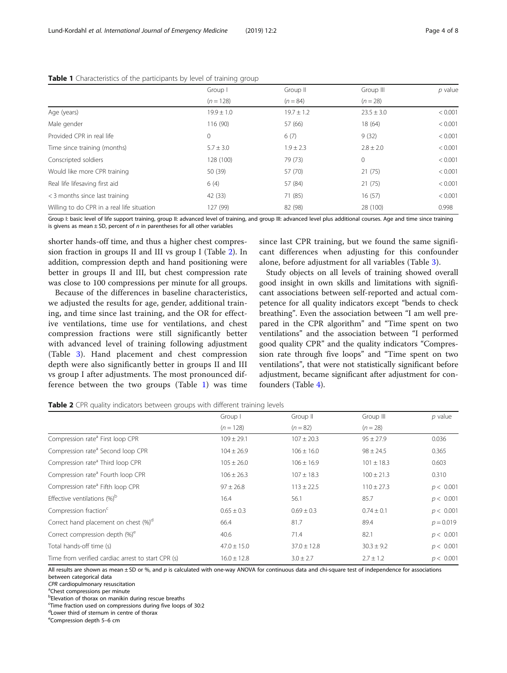|                                            | Group I        | Group II       | Group III      | $p$ value |
|--------------------------------------------|----------------|----------------|----------------|-----------|
|                                            | $(n = 128)$    | $(n = 84)$     | $(n = 28)$     |           |
| Age (years)                                | $19.9 \pm 1.0$ | $19.7 \pm 1.2$ | $23.5 \pm 3.0$ | < 0.001   |
| Male gender                                | 116 (90)       | 57 (66)        | 18(64)         | < 0.001   |
| Provided CPR in real life                  | 0              | 6(7)           | 9(32)          | < 0.001   |
| Time since training (months)               | $5.7 \pm 3.0$  | $1.9 \pm 2.3$  | $2.8 \pm 2.0$  | < 0.001   |
| Conscripted soldiers                       | 128 (100)      | 79 (73)        | $\mathbf{0}$   | < 0.001   |
| Would like more CPR training               | 50 (39)        | 57 (70)        | 21(75)         | < 0.001   |
| Real life lifesaving first aid             | 6(4)           | 57 (84)        | 21(75)         | < 0.001   |
| < 3 months since last training             | 42 (33)        | 71 (85)        | 16(57)         | < 0.001   |
| Willing to do CPR in a real life situation | 127 (99)       | 82 (98)        | 28 (100)       | 0.998     |

#### <span id="page-3-0"></span>**Table 1** Characteristics of the participants by level of training group

Group I: basic level of life support training, group II: advanced level of training, and group III: advanced level plus additional courses. Age and time since training is givens as mean  $\pm$  SD, percent of n in parentheses for all other variables

shorter hands-off time, and thus a higher chest compression fraction in groups II and III vs group I (Table 2). In addition, compression depth and hand positioning were better in groups II and III, but chest compression rate was close to 100 compressions per minute for all groups.

Because of the differences in baseline characteristics, we adjusted the results for age, gender, additional training, and time since last training, and the OR for effective ventilations, time use for ventilations, and chest compression fractions were still significantly better with advanced level of training following adjustment (Table [3\)](#page-4-0). Hand placement and chest compression depth were also significantly better in groups II and III vs group I after adjustments. The most pronounced difference between the two groups (Table 1) was time

since last CPR training, but we found the same significant differences when adjusting for this confounder alone, before adjustment for all variables (Table [3\)](#page-4-0).

Study objects on all levels of training showed overall good insight in own skills and limitations with significant associations between self-reported and actual competence for all quality indicators except "bends to check breathing". Even the association between "I am well prepared in the CPR algorithm" and "Time spent on two ventilations" and the association between "I performed good quality CPR" and the quality indicators "Compression rate through five loops" and "Time spent on two ventilations", that were not statistically significant before adjustment, became significant after adjustment for confounders (Table [4\)](#page-4-0).

**Table 2** CPR quality indicators between groups with different training levels

|                                                                                                                                                              | Group I         | Group II        | Group III      | $p$ value   |
|--------------------------------------------------------------------------------------------------------------------------------------------------------------|-----------------|-----------------|----------------|-------------|
|                                                                                                                                                              | $(n = 128)$     | $(n = 82)$      | $(n = 28)$     |             |
| Compression rate <sup>a</sup> First loop CPR                                                                                                                 | $109 \pm 29.1$  | $107 \pm 20.3$  | $95 \pm 27.9$  | 0.036       |
| Compression rate <sup>a</sup> Second loop CPR                                                                                                                | $104 \pm 26.9$  | $106 \pm 16.0$  | $98 \pm 24.5$  | 0.365       |
| Compression rate <sup>a</sup> Third loop CPR                                                                                                                 | $105 \pm 26.0$  | $106 \pm 16.9$  | $101 \pm 18.3$ | 0.603       |
| Compression rate <sup>a</sup> Fourth loop CPR                                                                                                                | $106 \pm 26.3$  | $107 \pm 18.3$  | $100 \pm 21.3$ | 0.310       |
| Compression rate <sup>a</sup> Fifth loop CPR                                                                                                                 | $97 \pm 26.8$   | $113 \pm 22.5$  | $110 \pm 27.3$ | p < 0.001   |
| Effective ventilations (%) <sup>b</sup>                                                                                                                      | 16.4            | 56.1            | 85.7           | p < 0.001   |
| Compression fraction <sup>c</sup>                                                                                                                            | $0.65 \pm 0.3$  | $0.69 \pm 0.3$  | $0.74 \pm 0.1$ | p < 0.001   |
| Correct hand placement on chest (%) <sup>d</sup>                                                                                                             | 66.4            | 81.7            | 89.4           | $p = 0.019$ |
| Correct compression depth (%) <sup>e</sup>                                                                                                                   | 40.6            | 71.4            | 82.1           | p < 0.001   |
| Total hands-off time (s)                                                                                                                                     | $47.0 \pm 15.0$ | $37.0 \pm 12.8$ | $30.3 \pm 9.2$ | p < 0.001   |
| Time from verified cardiac arrest to start CPR (s)                                                                                                           | $16.0 \pm 12.8$ | $3.0 \pm 2.7$   | $2.7 \pm 1.2$  | p < 0.001   |
| All results are shown as mean $\pm$ SD or %, and p is calculated with one-way ANOVA for continuous data and chi-square test of independence for associations |                 |                 |                |             |

between categorical data

CPR cardiopulmonary resuscitation

<sup>a</sup>Chest compressions per minute

b Elevation of thorax on manikin during rescue breaths

c Time fraction used on compressions during five loops of 30:2

dLower third of sternum in centre of thorax

e Compression depth 5–6 cm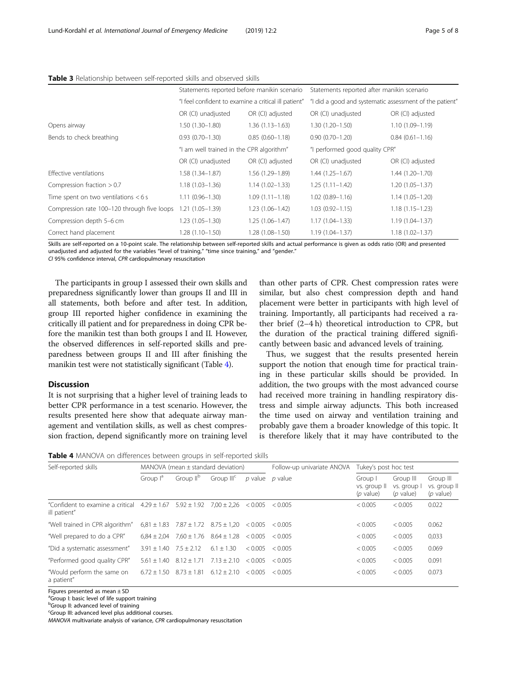| Compression rate 100-120 through five loops | $1.21(1.05 - 1.39)$                                  | $1.23(1.06 - 1.42)$ | $1.03(0.92 - 1.15)$                                     | $1.18(1.15 - 1.23)$ |  |
|---------------------------------------------|------------------------------------------------------|---------------------|---------------------------------------------------------|---------------------|--|
| Time spent on two ventilations $<$ 6 s      | $1.11(0.96 - 1.30)$                                  | $1.09(1.11 - 1.18)$ | $1.02(0.89 - 1.16)$                                     | $1.14(1.05 - 1.20)$ |  |
| Compression fraction $> 0.7$                | $1.18(1.03 - 1.36)$                                  | $1.14(1.02 - 1.33)$ | $1.25(1.11 - 1.42)$                                     | $1.20(1.05 - 1.37)$ |  |
| Effective ventilations                      | 1.58 (1.34-1.87)                                     | 1.56 (1.29-1.89)    | $1.44(1.25 - 1.67)$                                     | $1.44(1.20 - 1.70)$ |  |
|                                             | OR (CI) unadjusted                                   | OR (CI) adjusted    | OR (CI) unadjusted                                      | OR (CI) adjusted    |  |
| "I am well trained in the CPR algorithm"    |                                                      |                     | "I performed good quality CPR"                          |                     |  |
| Bends to check breathing                    | $0.93(0.70 - 1.30)$                                  | $0.85(0.60 - 1.18)$ | $0.90(0.70 - 1.20)$                                     | $0.84(0.61 - 1.16)$ |  |
| Opens airway                                | $1.50(1.30 - 1.80)$                                  | $1.36(1.13 - 1.63)$ | $1.30(1.20 - 1.50)$                                     | $1.10(1.09 - 1.19)$ |  |
|                                             | OR (CI) unadjusted                                   | OR (CI) adjusted    | OR (CI) unadjusted                                      | OR (CI) adjusted    |  |
|                                             | "I feel confident to examine a critical ill patient" |                     | "I did a good and systematic assessment of the patient" |                     |  |
|                                             | Statements reported before manikin scenario          |                     | Statements reported after manikin scenario              |                     |  |

#### <span id="page-4-0"></span>Table 3 Relationship between self-reported skills and observed skills

Skills are self-reported on a 10-point scale. The relationship between self-reported skills and actual performance is given as odds ratio (OR) and presented unadjusted and adjusted for the variables "level of training," "time since training," and "gender."

CI 95% confidence interval, CPR cardiopulmonary resuscitation

The participants in group I assessed their own skills and preparedness significantly lower than groups II and III in all statements, both before and after test. In addition, group III reported higher confidence in examining the critically ill patient and for preparedness in doing CPR before the manikin test than both groups I and II. However, the observed differences in self-reported skills and preparedness between groups II and III after finishing the manikin test were not statistically significant (Table 4).

# **Discussion**

It is not surprising that a higher level of training leads to better CPR performance in a test scenario. However, the results presented here show that adequate airway management and ventilation skills, as well as chest compression fraction, depend significantly more on training level than other parts of CPR. Chest compression rates were similar, but also chest compression depth and hand placement were better in participants with high level of training. Importantly, all participants had received a rather brief (2–4 h) theoretical introduction to CPR, but the duration of the practical training differed significantly between basic and advanced levels of training.

Thus, we suggest that the results presented herein support the notion that enough time for practical training in these particular skills should be provided. In addition, the two groups with the most advanced course had received more training in handling respiratory distress and simple airway adjuncts. This both increased the time used on airway and ventilation training and probably gave them a broader knowledge of this topic. It is therefore likely that it may have contributed to the

Table 4 MANOVA on differences between groups in self-reported skills

| Self-reported skills                                             | MANOVA (mean $\pm$ standard deviation) |                                                 |                        | Follow-up univariate ANOVA | Tukey's post hoc test |                                        |                                         |                                          |
|------------------------------------------------------------------|----------------------------------------|-------------------------------------------------|------------------------|----------------------------|-----------------------|----------------------------------------|-----------------------------------------|------------------------------------------|
|                                                                  | Group l <sup>a</sup>                   | Group II <sup>b</sup>                           | Group III <sup>c</sup> | <i>p</i> value             | <i>p</i> value        | Group I<br>vs. group II<br>$(p$ value) | Group III<br>vs. group I<br>$(p$ value) | Group III<br>vs. group II<br>$(p$ value) |
| "Confident to examine a critical $4.29 \pm 1.67$<br>ill patient" |                                        | $5.92 \pm 1.92$                                 | $7.00 \pm 2.26$        | < 0.005                    | < 0.005               | < 0.005                                | < 0.005                                 | 0.022                                    |
| "Well trained in CPR algorithm"                                  |                                        | $6.81 \pm 1.83$ $7.87 \pm 1.72$ $8.75 \pm 1.20$ |                        | < 0.005                    | < 0.005               | < 0.005                                | < 0.005                                 | 0.062                                    |
| "Well prepared to do a CPR"                                      | $6.84 \pm 2.04$                        | $7,60 \pm 1.76$ $8.64 \pm 1.28$                 |                        | < 0.005                    | < 0.005               | < 0.005                                | < 0.005                                 | 0,033                                    |
| "Did a systematic assessment"                                    | $3.91 \pm 1.40$                        | $7.5 \pm 2.12$                                  | $6.1 \pm 1.30$         | < 0.005                    | < 0.005               | < 0.005                                | < 0.005                                 | 0.069                                    |
| "Performed good quality CPR"                                     |                                        | $5.61 \pm 1.40$ $8.12 \pm 1.71$                 | $7.13 \pm 2.10$        | < 0.005                    | < 0.005               | < 0.005                                | < 0.005                                 | 0.091                                    |
| "Would perform the same on<br>a patient"                         | $6.72 + 1.50$                          | $8.73 + 1.81$                                   | $6.12 + 2.10$          | < 0.005                    | < 0.005               | < 0.005                                | < 0.005                                 | 0.073                                    |

Figures presented as mean ± SD

<sup>a</sup>Group I: basic level of life support training

**b**Group II: advanced level of training

<sup>c</sup>Group III: advanced level plus additional courses.

MANOVA multivariate analysis of variance, CPR cardiopulmonary resuscitation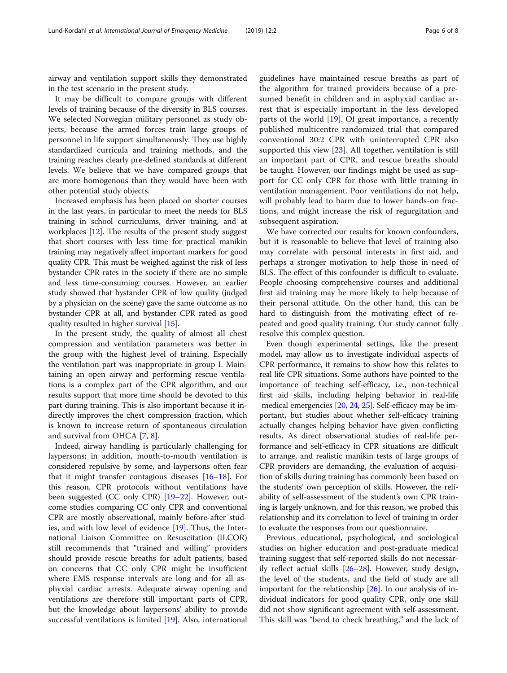airway and ventilation support skills they demonstrated in the test scenario in the present study.

It may be difficult to compare groups with different levels of training because of the diversity in BLS courses. We selected Norwegian military personnel as study objects, because the armed forces train large groups of personnel in life support simultaneously. They use highly standardized curricula and training methods, and the training reaches clearly pre-defined standards at different levels. We believe that we have compared groups that are more homogenous than they would have been with other potential study objects.

Increased emphasis has been placed on shorter courses in the last years, in particular to meet the needs for BLS training in school curriculums, driver training, and at workplaces [[12](#page-7-0)]. The results of the present study suggest that short courses with less time for practical manikin training may negatively affect important markers for good quality CPR. This must be weighed against the risk of less bystander CPR rates in the society if there are no simple and less time-consuming courses. However, an earlier study showed that bystander CPR of low quality (judged by a physician on the scene) gave the same outcome as no bystander CPR at all, and bystander CPR rated as good quality resulted in higher survival [[15\]](#page-7-0).

In the present study, the quality of almost all chest compression and ventilation parameters was better in the group with the highest level of training. Especially the ventilation part was inappropriate in group I. Maintaining an open airway and performing rescue ventilations is a complex part of the CPR algorithm, and our results support that more time should be devoted to this part during training. This is also important because it indirectly improves the chest compression fraction, which is known to increase return of spontaneous circulation and survival from OHCA [\[7](#page-6-0), [8](#page-6-0)].

Indeed, airway handling is particularly challenging for laypersons; in addition, mouth-to-mouth ventilation is considered repulsive by some, and laypersons often fear that it might transfer contagious diseases [\[16](#page-7-0)–[18\]](#page-7-0). For this reason, CPR protocols without ventilations have been suggested (CC only CPR) [[19](#page-7-0)–[22](#page-7-0)]. However, outcome studies comparing CC only CPR and conventional CPR are mostly observational, mainly before-after studies, and with low level of evidence [[19\]](#page-7-0). Thus, the International Liaison Committee on Resuscitation (ILCOR) still recommends that "trained and willing" providers should provide rescue breaths for adult patients, based on concerns that CC only CPR might be insufficient where EMS response intervals are long and for all asphyxial cardiac arrests. Adequate airway opening and ventilations are therefore still important parts of CPR, but the knowledge about laypersons' ability to provide successful ventilations is limited [[19\]](#page-7-0). Also, international guidelines have maintained rescue breaths as part of the algorithm for trained providers because of a presumed benefit in children and in asphyxial cardiac arrest that is especially important in the less developed parts of the world [\[19](#page-7-0)]. Of great importance, a recently published multicentre randomized trial that compared conventional 30:2 CPR with uninterrupted CPR also supported this view [\[23](#page-7-0)]. All together, ventilation is still an important part of CPR, and rescue breaths should be taught. However, our findings might be used as support for CC only CPR for those with little training in ventilation management. Poor ventilations do not help, will probably lead to harm due to lower hands-on fractions, and might increase the risk of regurgitation and subsequent aspiration.

We have corrected our results for known confounders, but it is reasonable to believe that level of training also may correlate with personal interests in first aid, and perhaps a stronger motivation to help those in need of BLS. The effect of this confounder is difficult to evaluate. People choosing comprehensive courses and additional first aid training may be more likely to help because of their personal attitude. On the other hand, this can be hard to distinguish from the motivating effect of repeated and good quality training. Our study cannot fully resolve this complex question.

Even though experimental settings, like the present model, may allow us to investigate individual aspects of CPR performance, it remains to show how this relates to real life CPR situations. Some authors have pointed to the importance of teaching self-efficacy, i.e., non-technical first aid skills, including helping behavior in real-life medical emergencies [\[20](#page-7-0), [24](#page-7-0), [25\]](#page-7-0). Self-efficacy may be important, but studies about whether self-efficacy training actually changes helping behavior have given conflicting results. As direct observational studies of real-life performance and self-efficacy in CPR situations are difficult to arrange, and realistic manikin tests of large groups of CPR providers are demanding, the evaluation of acquisition of skills during training has commonly been based on the students' own perception of skills. However, the reliability of self-assessment of the student's own CPR training is largely unknown, and for this reason, we probed this relationship and its correlation to level of training in order to evaluate the responses from our questionnaire.

Previous educational, psychological, and sociological studies on higher education and post-graduate medical training suggest that self-reported skills do not necessarily reflect actual skills [[26](#page-7-0)–[28](#page-7-0)]. However, study design, the level of the students, and the field of study are all important for the relationship [\[26\]](#page-7-0). In our analysis of individual indicators for good quality CPR, only one skill did not show significant agreement with self-assessment. This skill was "bend to check breathing," and the lack of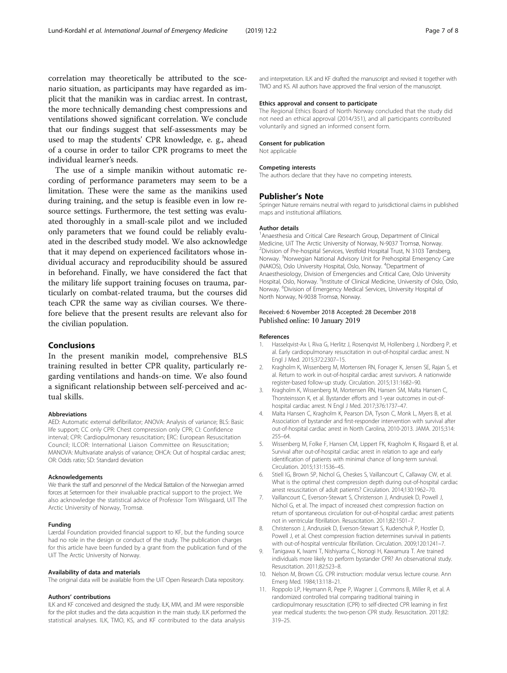<span id="page-6-0"></span>correlation may theoretically be attributed to the scenario situation, as participants may have regarded as implicit that the manikin was in cardiac arrest. In contrast, the more technically demanding chest compressions and ventilations showed significant correlation. We conclude that our findings suggest that self-assessments may be used to map the students' CPR knowledge, e. g., ahead of a course in order to tailor CPR programs to meet the individual learner's needs.

The use of a simple manikin without automatic recording of performance parameters may seem to be a limitation. These were the same as the manikins used during training, and the setup is feasible even in low resource settings. Furthermore, the test setting was evaluated thoroughly in a small-scale pilot and we included only parameters that we found could be reliably evaluated in the described study model. We also acknowledge that it may depend on experienced facilitators whose individual accuracy and reproducibility should be assured in beforehand. Finally, we have considered the fact that the military life support training focuses on trauma, particularly on combat-related trauma, but the courses did teach CPR the same way as civilian courses. We therefore believe that the present results are relevant also for the civilian population.

## Conclusions

In the present manikin model, comprehensive BLS training resulted in better CPR quality, particularly regarding ventilations and hands-on time. We also found a significant relationship between self-perceived and actual skills.

#### Abbreviations

AED: Automatic external defibrillator; ANOVA: Analysis of variance; BLS: Basic life support; CC only CPR: Chest compression only CPR; CI: Confidence interval; CPR: Cardiopulmonary resuscitation; ERC: European Resuscitation Council; ILCOR: International Liaison Committee on Resuscitation; MANOVA: Multivariate analysis of variance; OHCA: Out of hospital cardiac arrest; OR: Odds ratio; SD: Standard deviation

#### Acknowledgements

We thank the staff and personnel of the Medical Battalion of the Norwegian armed forces at Setermoen for their invaluable practical support to the project. We also acknowledge the statistical advice of Professor Tom Wilsgaard, UiT The Arctic University of Norway, Tromsø.

#### Funding

Lærdal Foundation provided financial support to KF, but the funding source had no role in the design or conduct of the study. The publication charges for this article have been funded by a grant from the publication fund of the UiT The Arctic University of Norway.

#### Availability of data and materials

The original data will be available from the UiT Open Research Data repository.

#### Authors' contributions

ILK and KF conceived and designed the study. ILK, MM, and JM were responsible for the pilot studies and the data acquisition in the main study. ILK performed the statistical analyses. ILK, TMO, KS, and KF contributed to the data analysis

and interpretation. ILK and KF drafted the manuscript and revised it together with TMO and KS. All authors have approved the final version of the manuscript.

#### Ethics approval and consent to participate

The Regional Ethics Board of North Norway concluded that the study did not need an ethical approval (2014/351), and all participants contributed voluntarily and signed an informed consent form.

#### Consent for publication

Not applicable

#### Competing interests

The authors declare that they have no competing interests.

#### Publisher's Note

Springer Nature remains neutral with regard to jurisdictional claims in published maps and institutional affiliations.

#### Author details

<sup>1</sup> Anaesthesia and Critical Care Research Group, Department of Clinical Medicine, UiT The Arctic University of Norway, N-9037 Tromsø, Norway. 2 Division of Pre-hospital Services, Vestfold Hospital Trust, N 3103 Tønsberg, Norway. <sup>3</sup> Norwegian National Advisory Unit for Prehospital Emergency Care (NAKOS), Oslo University Hospital, Oslo, Norway. <sup>4</sup> Department of Anaesthesiology, Division of Emergencies and Critical Care, Oslo University Hospital, Oslo, Norway. <sup>5</sup>Institute of Clinical Medicine, University of Oslo, Oslo, Norway. <sup>6</sup>Division of Emergency Medical Services, University Hospital of North Norway, N-9038 Tromsø, Norway.

## Received: 6 November 2018 Accepted: 28 December 2018 Published online: 10 January 2019

#### References

- 1. Hasselqvist-Ax I, Riva G, Herlitz J, Rosenqvist M, Hollenberg J, Nordberg P, et al. Early cardiopulmonary resuscitation in out-of-hospital cardiac arrest. N Engl J Med. 2015;372:2307–15.
- 2. Kragholm K, Wissenberg M, Mortensen RN, Fonager K, Jensen SE, Rajan S, et al. Return to work in out-of-hospital cardiac arrest survivors. A nationwide register-based follow-up study. Circulation. 2015;131:1682–90.
- 3. Kragholm K, Wissenberg M, Mortensen RN, Hansen SM, Malta Hansen C, Thorsteinsson K, et al. Bystander efforts and 1-year outcomes in out-ofhospital cardiac arrest. N Engl J Med. 2017;376:1737–47.
- 4. Malta Hansen C, Kragholm K, Pearson DA, Tyson C, Monk L, Myers B, et al. Association of bystander and first-responder intervention with survival after out-of-hospital cardiac arrest in North Carolina, 2010-2013. JAMA. 2015;314: 255–64.
- Wissenberg M, Folke F, Hansen CM, Lippert FK, Kragholm K, Risgaard B, et al. Survival after out-of-hospital cardiac arrest in relation to age and early identification of patients with minimal chance of long-term survival. Circulation. 2015;131:1536–45.
- 6. Stiell IG, Brown SP, Nichol G, Cheskes S, Vaillancourt C, Callaway CW, et al. What is the optimal chest compression depth during out-of-hospital cardiac arrest resuscitation of adult patients? Circulation. 2014;130:1962–70.
- 7. Vaillancourt C, Everson-Stewart S, Christenson J, Andrusiek D, Powell J, Nichol G, et al. The impact of increased chest compression fraction on return of spontaneous circulation for out-of-hospital cardiac arrest patients not in ventricular fibrillation. Resuscitation. 2011;82:1501–7.
- 8. Christenson J, Andrusiek D, Everson-Stewart S, Kudenchuk P, Hostler D, Powell J, et al. Chest compression fraction determines survival in patients with out-of-hospital ventricular fibrillation. Circulation. 2009;120:1241–7.
- 9. Tanigawa K, Iwami T, Nishiyama C, Nonogi H, Kawamura T. Are trained individuals more likely to perform bystander CPR? An observational study. Resuscitation. 2011;82:523–8.
- 10. Nelson M, Brown CG. CPR instruction: modular versus lecture course. Ann Emerg Med. 1984;13:118–21.
- 11. Roppolo LP, Heymann R, Pepe P, Wagner J, Commons B, Miller R, et al. A randomized controlled trial comparing traditional training in cardiopulmonary resuscitation (CPR) to self-directed CPR learning in first year medical students: the two-person CPR study. Resuscitation. 2011;82: 319–25.